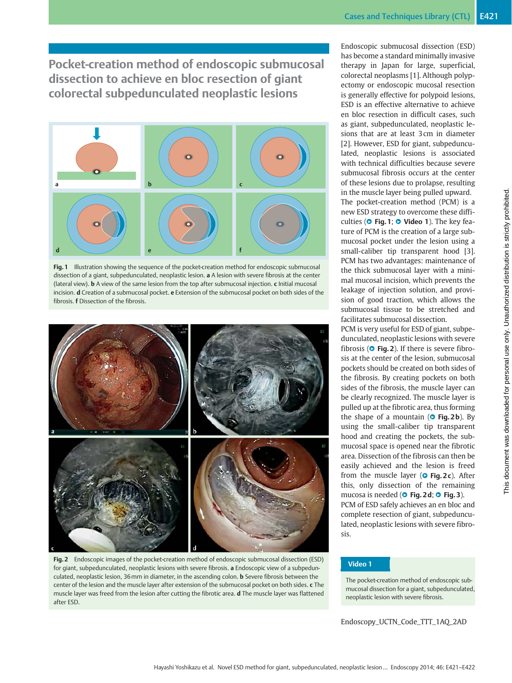Pocket-creation method of endoscopic submucosal dissection to achieve en bloc resection of giant colorectal subpedunculated neoplastic lesions



Fig. 1 Illustration showing the sequence of the pocket-creation method for endoscopic submucosal dissection of a giant, subpedunculated, neoplastic lesion. a A lesion with severe fibrosis at the center (lateral view). **b** A view of the same lesion from the top after submucosal injection. c Initial mucosal incision. d Creation of a submucosal pocket. e Extension of the submucosal pocket on both sides of the fibrosis. f Dissection of the fibrosis.



Fig. 2 Endoscopic images of the pocket-creation method of endoscopic submucosal dissection (ESD) for giant, subpedunculated, neoplastic lesions with severe fibrosis. a Endoscopic view of a subpedunculated, neoplastic lesion, 36mm in diameter, in the ascending colon. b Severe fibrosis between the center of the lesion and the muscle layer after extension of the submucosal pocket on both sides. c The muscle layer was freed from the lesion after cutting the fibrotic area. d The muscle layer was flattened after ESD.

Endoscopic submucosal dissection (ESD) has become a standard minimally invasive therapy in Japan for large, superficial, colorectal neoplasms [1]. Although polypectomy or endoscopic mucosal resection is generally effective for polypoid lesions, ESD is an effective alternative to achieve en bloc resection in difficult cases, such as giant, subpedunculated, neoplastic lesions that are at least 3 cm in diameter [2]. However, ESD for giant, subpedunculated, neoplastic lesions is associated with technical difficulties because severe submucosal fibrosis occurs at the center of these lesions due to prolapse, resulting in the muscle layer being pulled upward. The pocket-creation method (PCM) is a new ESD strategy to overcome these difficulties ( $\circ$  Fig. 1;  $\circ$  Video 1). The key feature of PCM is the creation of a large submucosal pocket under the lesion using a small-caliber tip transparent hood [3]. PCM has two advantages: maintenance of the thick submucosal layer with a minimal mucosal incision, which prevents the leakage of injection solution, and provision of good traction, which allows the submucosal tissue to be stretched and facilitates submucosal dissection.

PCM is very useful for ESD of giant, subpedunculated, neoplastic lesions with severe fibrosis ( $\bullet$  Fig. 2). If there is severe fibrosis at the center of the lesion, submucosal pockets should be created on both sides of the fibrosis. By creating pockets on both sides of the fibrosis, the muscle layer can be clearly recognized. The muscle layer is pulled up at the fibrotic area, thus forming the shape of a mountain ( $\circ$  Fig. 2b). By using the small-caliber tip transparent hood and creating the pockets, the submucosal space is opened near the fibrotic area. Dissection of the fibrosis can then be easily achieved and the lesion is freed from the muscle layer ( $\circ$  Fig. 2c). After this, only dissection of the remaining mucosa is needed ( $\bullet$  Fig. 2 d;  $\bullet$  Fig. 3). PCM of ESD safely achieves an en bloc and complete resection of giant, subpedunculated, neoplastic lesions with severe fibrosis.

## Video 1

The pocket-creation method of endoscopic submucosal dissection for a giant, subpedunculated, neoplastic lesion with severe fibrosis.

Endoscopy\_UCTN\_Code\_TTT\_1AQ\_2AD